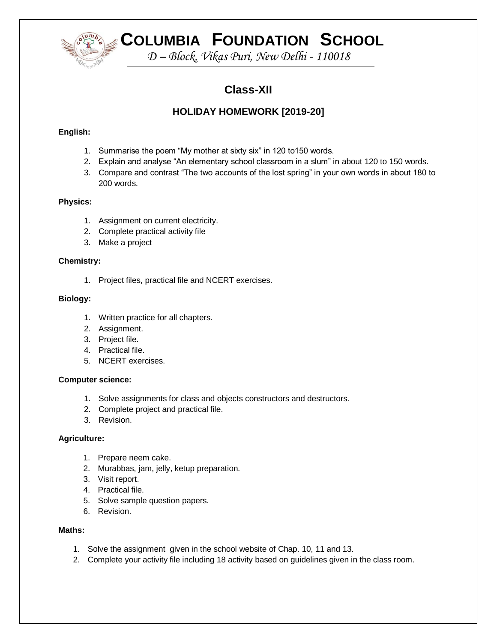

# **COLUMBIA FOUNDATION SCHOOL**

*D – Block, Vikas Puri, New Delhi - 110018*

# **Class-XII**

# **HOLIDAY HOMEWORK [2019-20]**

# **English:**

- 1. Summarise the poem "My mother at sixty six" in 120 to150 words.
- 2. Explain and analyse "An elementary school classroom in a slum" in about 120 to 150 words.
- 3. Compare and contrast "The two accounts of the lost spring" in your own words in about 180 to 200 words.

# **Physics:**

- 1. Assignment on current electricity.
- 2. Complete practical activity file
- 3. Make a project

# **Chemistry:**

1. Project files, practical file and NCERT exercises.

# **Biology:**

- 1. Written practice for all chapters.
- 2. Assignment.
- 3. Project file.
- 4. Practical file.
- 5. NCERT exercises.

# **Computer science:**

- 1. Solve assignments for class and objects constructors and destructors.
- 2. Complete project and practical file.
- 3. Revision.

# **Agriculture:**

- 1. Prepare neem cake.
- 2. Murabbas, jam, jelly, ketup preparation.
- 3. Visit report.
- 4. Practical file.
- 5. Solve sample question papers.
- 6. Revision.

# **Maths:**

- 1. Solve the assignment given in the school website of Chap. 10, 11 and 13.
- 2. Complete your activity file including 18 activity based on guidelines given in the class room.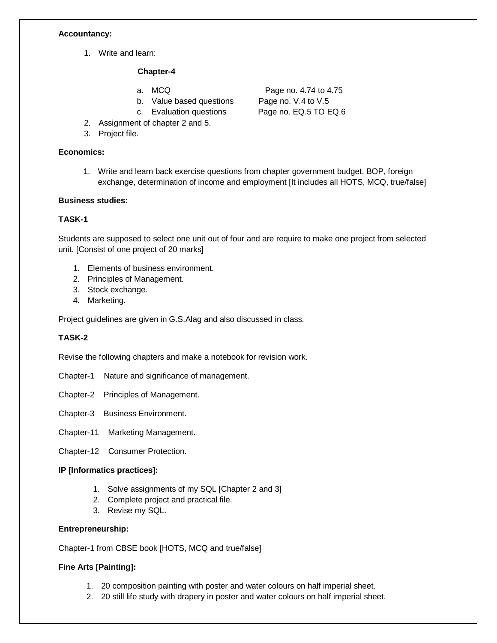#### **Accountancy:**

1. Write and learn:

#### **Chapter-4**

- 
- b. Value based questions Page no. V.4 to V.5
	-
- 2. Assignment of chapter 2 and 5.
- 3. Project file.

# **Economics:**

1. Write and learn back exercise questions from chapter government budget, BOP, foreign exchange, determination of income and employment [It includes all HOTS, MCQ, true/false]

#### **Business studies:**

# **TASK-1**

Students are supposed to select one unit out of four and are require to make one project from selected unit. [Consist of one project of 20 marks]

- 1. Elements of business environment.
- 2. Principles of Management.
- 3. Stock exchange.
- 4. Marketing.

Project guidelines are given in G.S.Alag and also discussed in class.

# **TASK-2**

Revise the following chapters and make a notebook for revision work.

Chapter-1 Nature and significance of management.

Chapter-2 Principles of Management.

- Chapter-3 Business Environment.
- Chapter-11 Marketing Management.
- Chapter-12 Consumer Protection.

# **IP [Informatics practices]:**

- 1. Solve assignments of my SQL [Chapter 2 and 3]
- 2. Complete project and practical file.
- 3. Revise my SQL.

#### **Entrepreneurship:**

Chapter-1 from CBSE book [HOTS, MCQ and true/false]

# **Fine Arts [Painting]:**

- 1. 20 composition painting with poster and water colours on half imperial sheet.
- 2. 20 still life study with drapery in poster and water colours on half imperial sheet.

a. MCQ Page no. 4.74 to 4.75 c. Evaluation questions Page no. EQ.5 TO EQ.6